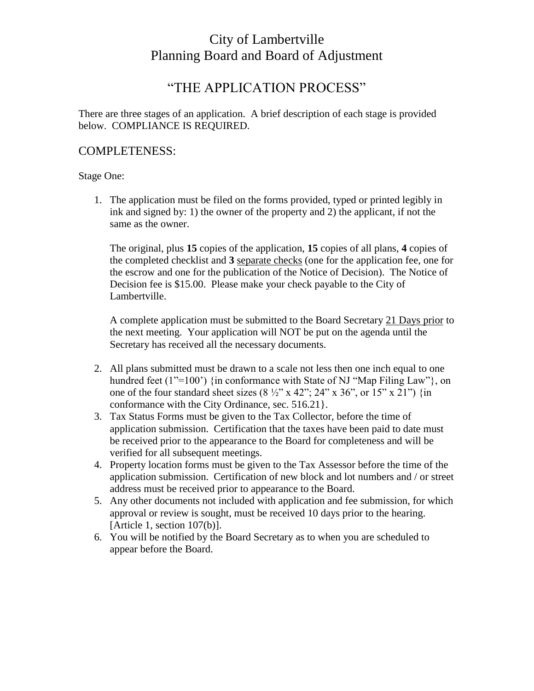# City of Lambertville Planning Board and Board of Adjustment

## "THE APPLICATION PROCESS"

There are three stages of an application. A brief description of each stage is provided below. COMPLIANCE IS REQUIRED.

## COMPLETENESS:

#### Stage One:

1. The application must be filed on the forms provided, typed or printed legibly in ink and signed by: 1) the owner of the property and 2) the applicant, if not the same as the owner.

The original, plus **15** copies of the application, **15** copies of all plans, **4** copies of the completed checklist and **3** separate checks (one for the application fee, one for the escrow and one for the publication of the Notice of Decision). The Notice of Decision fee is \$15.00. Please make your check payable to the City of Lambertville.

A complete application must be submitted to the Board Secretary 21 Days prior to the next meeting. Your application will NOT be put on the agenda until the Secretary has received all the necessary documents.

- 2. All plans submitted must be drawn to a scale not less then one inch equal to one hundred feet  $(1"=100)$  {in conformance with State of NJ "Map Filing Law" }, on one of the four standard sheet sizes  $(8\frac{1}{2}$ " x 42"; 24" x 36", or 15" x 21") {in conformance with the City Ordinance, sec. 516.21}.
- 3. Tax Status Forms must be given to the Tax Collector, before the time of application submission. Certification that the taxes have been paid to date must be received prior to the appearance to the Board for completeness and will be verified for all subsequent meetings.
- 4. Property location forms must be given to the Tax Assessor before the time of the application submission. Certification of new block and lot numbers and / or street address must be received prior to appearance to the Board.
- 5. Any other documents not included with application and fee submission, for which approval or review is sought, must be received 10 days prior to the hearing. [Article 1, section 107(b)].
- 6. You will be notified by the Board Secretary as to when you are scheduled to appear before the Board.